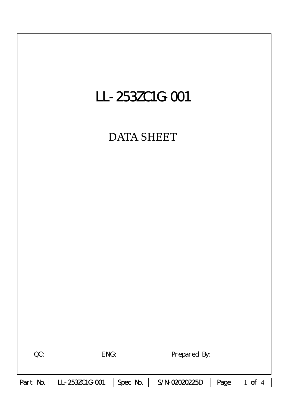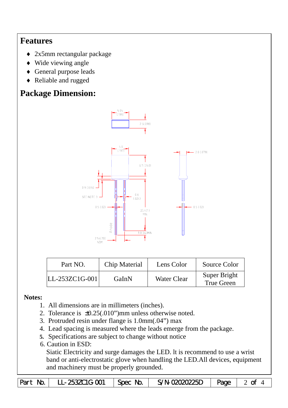## **Features**

- ♦ 2x5mm rectangular package
- ♦ Wide viewing angle
- ♦ General purpose leads
- ♦ Reliable and rugged

# **Package Dimension:**



| Part NO.           | Chip Material | Lens Color  | Source Color                      |
|--------------------|---------------|-------------|-----------------------------------|
| $ LL-253ZC1G-001 $ | GaInN         | Water Clear | Super Bright<br><b>True Green</b> |

### **Notes:**

- 1. All dimensions are in millimeters (inches).
- 2. Tolerance is ±0.25(.010")mm unless otherwise noted.
- 3. Protruded resin under flange is 1.0mm(.04") max
- 4. Lead spacing is measured where the leads emerge from the package.
- **5.** Specifications are subject to change without notice
- 6. Caution in ESD:

Siatic Electricity and surge damages the LED. lt is recommend to use a wrist band or anti-electrostatic glove when handling the LED.All devices, equipment and machinery must be properly grounded.

| Part No. | LL-253ZC1G-001 | $\mathcal{S}$   Spec No. | S/N-02020225D $\vert$ Page $\vert$ 2 of 4 |  |  |
|----------|----------------|--------------------------|-------------------------------------------|--|--|
|----------|----------------|--------------------------|-------------------------------------------|--|--|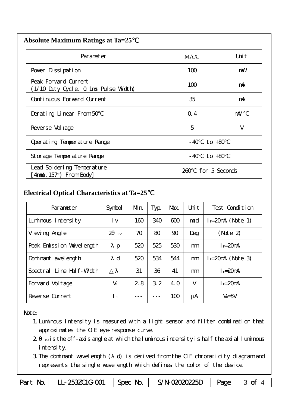| <b>Absolute Maximum Ratings at Ta=25</b> |  |
|------------------------------------------|--|
|                                          |  |

| Parameter                                                    | MAX.                 | Uni t |
|--------------------------------------------------------------|----------------------|-------|
| Pover Dissipation                                            | 100                  | mW    |
| Peak Forward Current<br>(1/10 Duty Cycle, 0.1ms Pulse Width) | 100                  | mA    |
| Continuous Forward Current                                   | 35                   | mA    |
| Derating Linear From 50                                      | Q.4                  | mA/   |
| Reverse Vol tage                                             | 5                    | V     |
| Operating Temperature Range                                  | to $+80$<br>- 40     |       |
| Storage Temperature Range                                    | $-40$ to $+80$       |       |
| Lead Sol dering Temperature<br>$4mm(.157")$ From Body        | for 5 Seconds<br>260 |       |

### **Electrical Optical Characteristics at Ta=25**℃

| Parameter                   | Symbol                | Mn. | Typ. | Max. | Uni t  | Test Condition      |
|-----------------------------|-----------------------|-----|------|------|--------|---------------------|
| Luminous Intensity          | l v                   | 160 | 340  | 600  | mcd    | $I = 20mA$ (Note 1) |
| Vi ewing Angl e             | $\overline{2}$<br>1/2 | 70  | 80   | 90   | Deg    | (Note 2)            |
| Peak Emission Wavelength    | p                     | 520 | 525  | 530  | nm     | $I_F = 20$ mA       |
| Dominant avel ength         | $\mathbf d$           | 520 | 534  | 544  | nm     | $I = 20mA$ (Note 3) |
| Line Half-Width<br>Spectral |                       | 31  | 36   | 41   | nm     | $I_F = 20$ mA       |
| Forward Voltage             | $V_F$                 | 2.8 | 3.2  | 4. O | $\vee$ | $I_F = 20$ mA       |
| Reverse Current             | $\mathsf{R}$          |     |      | 100  | μA     | $V_R = 5V$          |

#### Note:

- 1.Luminous intensity is measured with a light sensor and filter combination that approximates the CIE eye-response curve.
- $2 1/2$  is the off-axis angle at which the luminous intensity is half the axial luminous i ntensity.
- 3.The dominant wavelength ( d) is derived from the CIE chromaticity diagram and represents the single wavelength which defines the color of the device.

Part No. | LL-253ZC1G-001 | Spec No. | S/N-02020225D | Page | 3 of 4